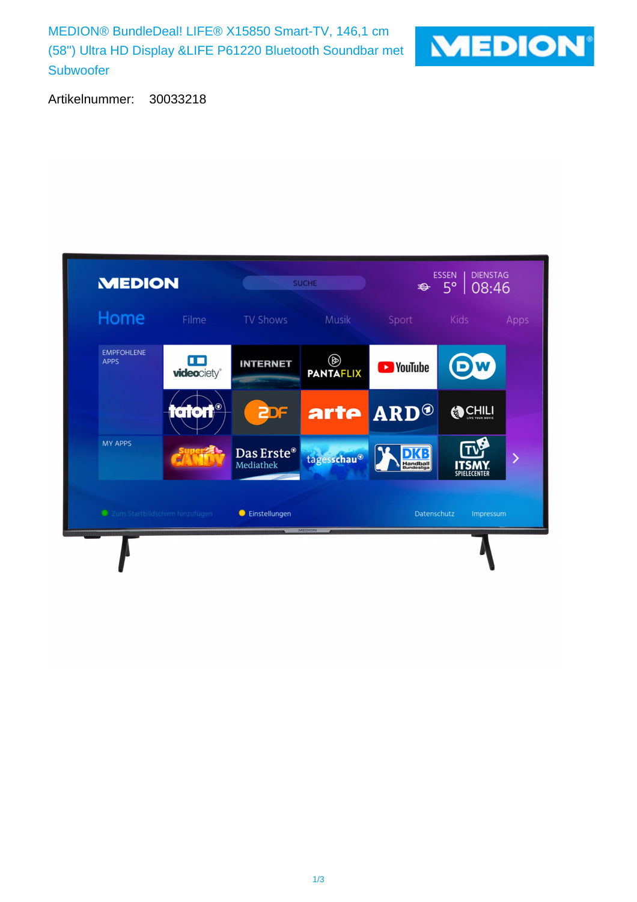MEDION® BundleDeal! LIFE® X15850 Smart-TV, 146,1 cm (58'') Ultra HD Display &LIFE P61220 Bluetooth Soundbar met **Subwoofer** 



Artikelnummer: 30033218

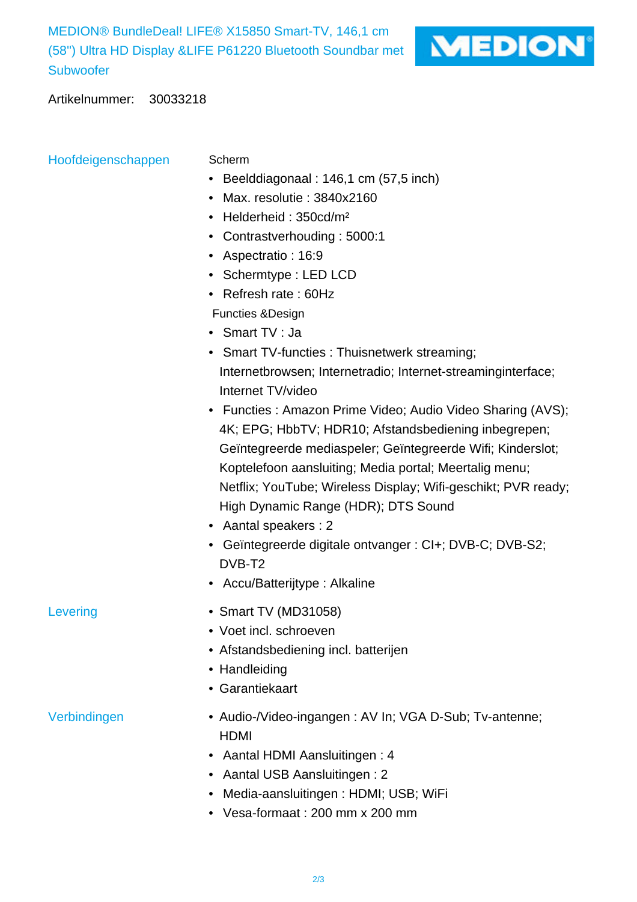MEDION® BundleDeal! LIFE® X15850 Smart-TV, 146,1 cm (58'') Ultra HD Display &LIFE P61220 Bluetooth Soundbar met **Subwoofer** 



Artikelnummer: 30033218

Hoofdeigenschappen Scherm

- - Beelddiagonaal : 146,1 cm (57,5 inch)
	- Max. resolutie : 3840x2160
	- Helderheid : 350cd/m²
	- Contrastverhouding : 5000:1
	- Aspectratio : 16:9
	- Schermtype : LED LCD
	- Refresh rate : 60Hz
	- Functies &Design
	- Smart TV : Ja
	- Smart TV-functies : Thuisnetwerk streaming; Internetbrowsen; Internetradio; Internet-streaminginterface; Internet TV/video
	- Functies : Amazon Prime Video; Audio Video Sharing (AVS); 4K; EPG; HbbTV; HDR10; Afstandsbediening inbegrepen; Geïntegreerde mediaspeler; Geïntegreerde Wifi; Kinderslot; Koptelefoon aansluiting; Media portal; Meertalig menu; Netflix; YouTube; Wireless Display; Wifi-geschikt; PVR ready; High Dynamic Range (HDR); DTS Sound
	- Aantal speakers : 2
	- Geïntegreerde digitale ontvanger : CI+; DVB-C; DVB-S2; DVB-T2
	- Accu/Batterijtype : Alkaline
- Levering Smart TV (MD31058)
	- Voet incl. schroeven
	- Afstandsbediening incl. batterijen
	- Handleiding
	- Garantiekaart

- Verbindingen  **Audio-/Video-ingangen : AV In; VGA D-Sub**; Tv-antenne; HDMI
	- Aantal HDMI Aansluitingen : 4
	- Aantal USB Aansluitingen : 2
	- Media-aansluitingen : HDMI; USB; WiFi
	- Vesa-formaat : 200 mm x 200 mm